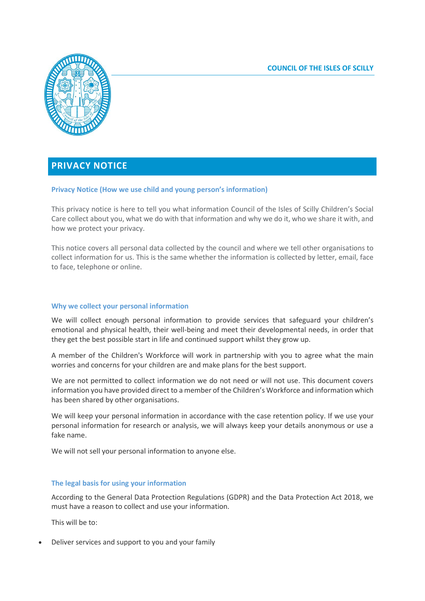

# **PRIVACY NOTICE**

### **Privacy Notice (How we use child and young person's information)**

This privacy notice is here to tell you what information Council of the Isles of Scilly Children's Social Care collect about you, what we do with that information and why we do it, who we share it with, and how we protect your privacy.

This notice covers all personal data collected by the council and where we tell other organisations to collect information for us. This is the same whether the information is collected by letter, email, face to face, telephone or online.

### **Why we collect your personal information**

We will collect enough personal information to provide services that safeguard your children's emotional and physical health, their well-being and meet their developmental needs, in order that they get the best possible start in life and continued support whilst they grow up.

A member of the Children's Workforce will work in partnership with you to agree what the main worries and concerns for your children are and make plans for the best support.

We are not permitted to collect information we do not need or will not use. This document covers information you have provided direct to a member of the Children's Workforce and information which has been shared by other organisations.

We will keep your personal information in accordance with the case retention policy. If we use your personal information for research or analysis, we will always keep your details anonymous or use a fake name.

We will not sell your personal information to anyone else.

### **The legal basis for using your information**

According to the General Data Protection Regulations (GDPR) and the Data Protection Act 2018, we must have a reason to collect and use your information.

This will be to:

Deliver services and support to you and your family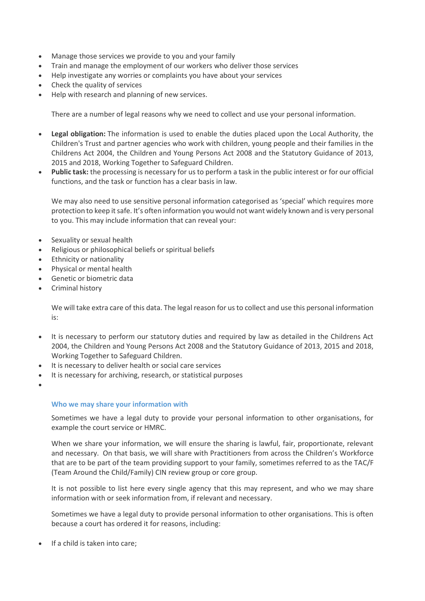- Manage those services we provide to you and your family
- Train and manage the employment of our workers who deliver those services
- Help investigate any worries or complaints you have about your services
- Check the quality of services
- Help with research and planning of new services.

There are a number of legal reasons why we need to collect and use your personal information.

- **Legal obligation:** The information is used to enable the duties placed upon the Local Authority, the Children's Trust and partner agencies who work with children, young people and their families in the Childrens Act 2004, the Children and Young Persons Act 2008 and the Statutory Guidance of 2013, 2015 and 2018, Working Together to Safeguard Children.
- **Public task:** the processing is necessary for us to perform a task in the public interest or for our official functions, and the task or function has a clear basis in law.

We may also need to use sensitive personal information categorised as 'special' which requires more protection to keep it safe. It's often information you would not want widely known and is very personal to you. This may include information that can reveal your:

- Sexuality or sexual health
- Religious or philosophical beliefs or spiritual beliefs
- Ethnicity or nationality
- Physical or mental health
- Genetic or biometric data
- Criminal history

We will take extra care of this data. The legal reason for us to collect and use this personal information is:

- It is necessary to perform our statutory duties and required by law as detailed in the Childrens Act 2004, the Children and Young Persons Act 2008 and the Statutory Guidance of 2013, 2015 and 2018, Working Together to Safeguard Children.
- It is necessary to deliver health or social care services
- It is necessary for archiving, research, or statistical purposes
- $\bullet$

### **Who we may share your information with**

Sometimes we have a legal duty to provide your personal information to other organisations, for example the court service or HMRC.

When we share your information, we will ensure the sharing is lawful, fair, proportionate, relevant and necessary. On that basis, we will share with Practitioners from across the Children's Workforce that are to be part of the team providing support to your family, sometimes referred to as the TAC/F (Team Around the Child/Family) CIN review group or core group.

It is not possible to list here every single agency that this may represent, and who we may share information with or seek information from, if relevant and necessary.

Sometimes we have a legal duty to provide personal information to other organisations. This is often because a court has ordered it for reasons, including:

If a child is taken into care;